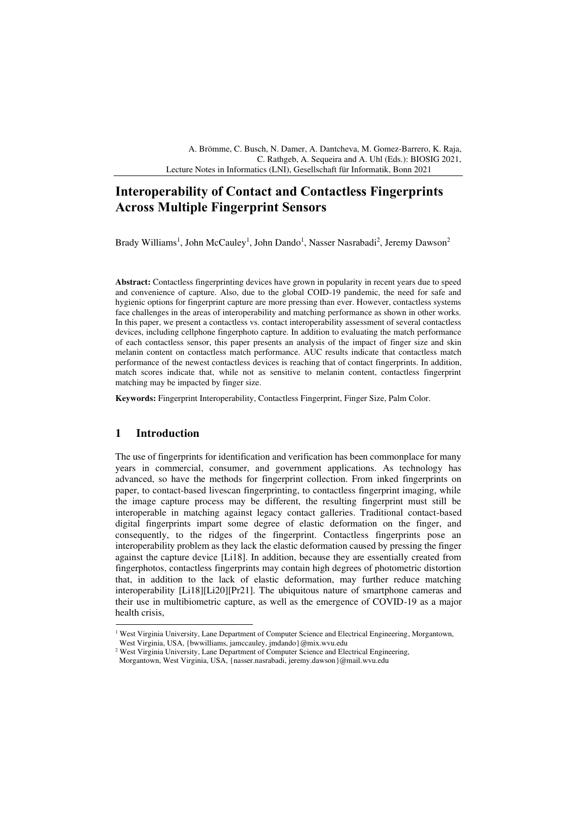A. Brömme, C. Busch, N. Damer, A. Dantcheva, M. Gomez-Barrero, K. Raja, C. Rathgeb, A. Sequeira and A. Uhl (Eds.): BIOSIG 2021, Lecture Notes in Informatics (LNI), Gesellschaft für Informatik, Bonn 2021

# **Interoperability of Contact and Contactless Fingerprints Across Multiple Fingerprint Sensors**

Brady Williams<sup>1</sup>, John McCauley<sup>1</sup>, John Dando<sup>1</sup>, Nasser Nasrabadi<sup>2</sup>, Jeremy Dawson<sup>2</sup>

**Abstract:** Contactless fingerprinting devices have grown in popularity in recent years due to speed and convenience of capture. Also, due to the global COID-19 pandemic, the need for safe and hygienic options for fingerprint capture are more pressing than ever. However, contactless systems face challenges in the areas of interoperability and matching performance as shown in other works. In this paper, we present a contactless vs. contact interoperability assessment of several contactless devices, including cellphone fingerphoto capture. In addition to evaluating the match performance of each contactless sensor, this paper presents an analysis of the impact of finger size and skin melanin content on contactless match performance. AUC results indicate that contactless match performance of the newest contactless devices is reaching that of contact fingerprints. In addition, match scores indicate that, while not as sensitive to melanin content, contactless fingerprint matching may be impacted by finger size.

**Keywords:** Fingerprint Interoperability, Contactless Fingerprint, Finger Size, Palm Color.

#### **1 Introduction**

The use of fingerprints for identification and verification has been commonplace for many years in commercial, consumer, and government applications. As technology has advanced, so have the methods for fingerprint collection. From inked fingerprints on paper, to contact-based livescan fingerprinting, to contactless fingerprint imaging, while the image capture process may be different, the resulting fingerprint must still be interoperable in matching against legacy contact galleries. Traditional contact-based digital fingerprints impart some degree of elastic deformation on the finger, and consequently, to the ridges of the fingerprint. Contactless fingerprints pose an interoperability problem as they lack the elastic deformation caused by pressing the finger against the capture device [Li18]. In addition, because they are essentially created from fingerphotos, contactless fingerprints may contain high degrees of photometric distortion that, in addition to the lack of elastic deformation, may further reduce matching interoperability [Li18][Li20][Pr21]. The ubiquitous nature of smartphone cameras and their use in multibiometric capture, as well as the emergence of COVID-19 as a major health crisis,

<sup>&</sup>lt;sup>1</sup> West Virginia University, Lane Department of Computer Science and Electrical Engineering, Morgantown, West Virginia, USA, {bwwilliams, jamccauley, jmdando}@mix.wvu.edu

<sup>&</sup>lt;sup>2</sup> West Virginia University, Lane Department of Computer Science and Electrical Engineering,

Morgantown, West Virginia, USA, {nasser.nasrabadi, jeremy.dawson}@mail.wvu.edu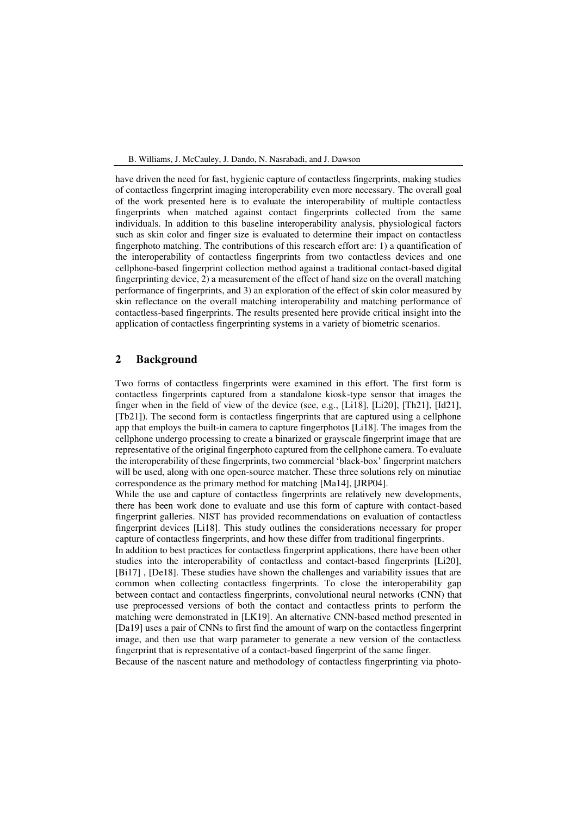have driven the need for fast, hygienic capture of contactless fingerprints, making studies of contactless fingerprint imaging interoperability even more necessary. The overall goal of the work presented here is to evaluate the interoperability of multiple contactless fingerprints when matched against contact fingerprints collected from the same individuals. In addition to this baseline interoperability analysis, physiological factors such as skin color and finger size is evaluated to determine their impact on contactless fingerphoto matching. The contributions of this research effort are: 1) a quantification of the interoperability of contactless fingerprints from two contactless devices and one cellphone-based fingerprint collection method against a traditional contact-based digital fingerprinting device, 2) a measurement of the effect of hand size on the overall matching performance of fingerprints, and 3) an exploration of the effect of skin color measured by skin reflectance on the overall matching interoperability and matching performance of contactless-based fingerprints. The results presented here provide critical insight into the application of contactless fingerprinting systems in a variety of biometric scenarios.

## **2 Background**

Two forms of contactless fingerprints were examined in this effort. The first form is contactless fingerprints captured from a standalone kiosk-type sensor that images the finger when in the field of view of the device (see, e.g., [Li18], [Li20], [Th21], [Id21], [Tb21]). The second form is contactless fingerprints that are captured using a cellphone app that employs the built-in camera to capture fingerphotos [Li18]. The images from the cellphone undergo processing to create a binarized or grayscale fingerprint image that are representative of the original fingerphoto captured from the cellphone camera. To evaluate the interoperability of these fingerprints, two commercial 'black-box' fingerprint matchers will be used, along with one open-source matcher. These three solutions rely on minutiae correspondence as the primary method for matching [Ma14], [JRP04].

While the use and capture of contactless fingerprints are relatively new developments, there has been work done to evaluate and use this form of capture with contact-based fingerprint galleries. NIST has provided recommendations on evaluation of contactless fingerprint devices [Li18]. This study outlines the considerations necessary for proper capture of contactless fingerprints, and how these differ from traditional fingerprints.

In addition to best practices for contactless fingerprint applications, there have been other studies into the interoperability of contactless and contact-based fingerprints [Li20], [Bi17] , [De18]. These studies have shown the challenges and variability issues that are common when collecting contactless fingerprints. To close the interoperability gap between contact and contactless fingerprints, convolutional neural networks (CNN) that use preprocessed versions of both the contact and contactless prints to perform the matching were demonstrated in [LK19]. An alternative CNN-based method presented in [Da19] uses a pair of CNNs to first find the amount of warp on the contactless fingerprint image, and then use that warp parameter to generate a new version of the contactless fingerprint that is representative of a contact-based fingerprint of the same finger.

Because of the nascent nature and methodology of contactless fingerprinting via photo-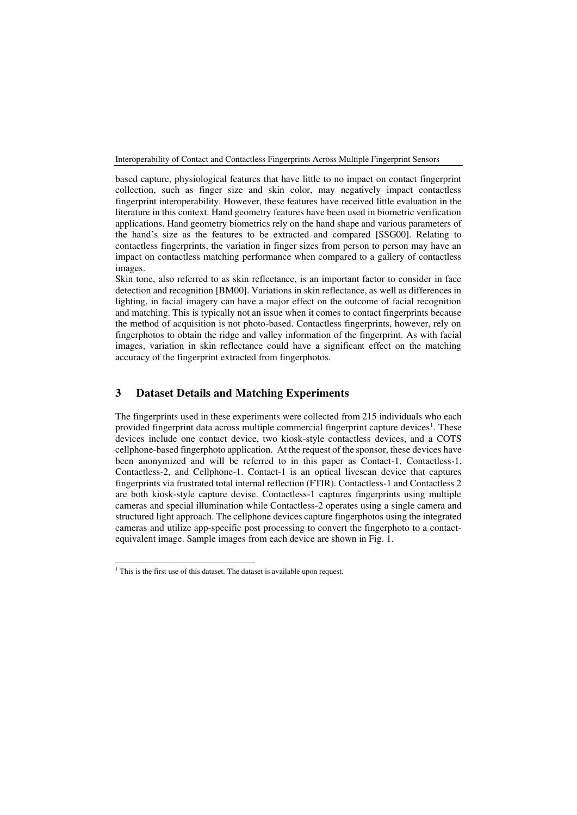based capture, physiological features that have little to no impact on contact fingerprint collection, such as finger size and skin color, may negatively impact contactless fingerprint interoperability. However, these features have received little evaluation in the literature in this context. Hand geometry features have been used in biometric verification applications. Hand geometry biometrics rely on the hand shape and various parameters of the hand's size as the features to be extracted and compared [SSG00]. Relating to contactless fingerprints, the variation in finger sizes from person to person may have an impact on contactless matching performance when compared to a gallery of contactless images.

Skin tone, also referred to as skin reflectance, is an important factor to consider in face detection and recognition [BM00]. Variations in skin reflectance, as well as differences in lighting, in facial imagery can have a major effect on the outcome of facial recognition and matching. This is typically not an issue when it comes to contact fingerprints because the method of acquisition is not photo-based. Contactless fingerprints, however, rely on fingerphotos to obtain the ridge and valley information of the fingerprint. As with facial images, variation in skin reflectance could have a significant effect on the matching accuracy of the fingerprint extracted from fingerphotos.

## **3 Dataset Details and Matching Experiments**

The fingerprints used in these experiments were collected from 215 individuals who each provided fingerprint data across multiple commercial fingerprint capture devices<sup>1</sup>. These devices include one contact device, two kiosk-style contactless devices, and a COTS cellphone-based fingerphoto application. At the request of the sponsor, these devices have been anonymized and will be referred to in this paper as Contact-1, Contactless-1, Contactless-2, and Cellphone-1. Contact-1 is an optical livescan device that captures fingerprints via frustrated total internal reflection (FTIR). Contactless-1 and Contactless 2 are both kiosk-style capture devise. Contactless-1 captures fingerprints using multiple cameras and special illumination while Contactless-2 operates using a single camera and structured light approach. The cellphone devices capture fingerphotos using the integrated cameras and utilize app-specific post processing to convert the fingerphoto to a contactequivalent image. Sample images from each device are shown in Fig. 1.

<sup>&</sup>lt;sup>1</sup> This is the first use of this dataset. The dataset is available upon request.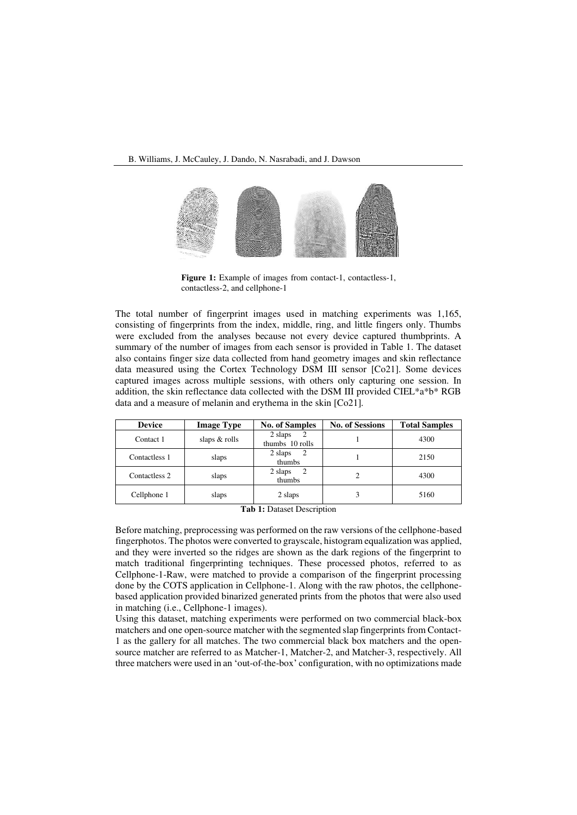

Figure 1: Example of images from contact-1, contactless-1, contactless-2, and cellphone-1

The total number of fingerprint images used in matching experiments was 1,165, consisting of fingerprints from the index, middle, ring, and little fingers only. Thumbs were excluded from the analyses because not every device captured thumbprints. A summary of the number of images from each sensor is provided in Table 1. The dataset also contains finger size data collected from hand geometry images and skin reflectance data measured using the Cortex Technology DSM III sensor [Co21]. Some devices captured images across multiple sessions, with others only capturing one session. In addition, the skin reflectance data collected with the DSM III provided CIEL\*a\*b\* RGB data and a measure of melanin and erythema in the skin [Co21].

| <b>Device</b> | <b>Image Type</b> | <b>No. of Samples</b>           | <b>No. of Sessions</b> | <b>Total Samples</b> |
|---------------|-------------------|---------------------------------|------------------------|----------------------|
| Contact 1     | slaps & rolls     | 2 slaps<br>2<br>thumbs 10 rolls |                        | 4300                 |
| Contactless 1 | slaps             | 2 slaps<br>2<br>thumbs          |                        | 2150                 |
| Contactless 2 | slaps             | 2 slaps<br>-2<br>thumbs         |                        | 4300                 |
| Cellphone 1   | slaps             | 2 slaps                         |                        | 5160                 |

**Tab 1:** Dataset Description

Before matching, preprocessing was performed on the raw versions of the cellphone-based fingerphotos. The photos were converted to grayscale, histogram equalization was applied, and they were inverted so the ridges are shown as the dark regions of the fingerprint to match traditional fingerprinting techniques. These processed photos, referred to as Cellphone-1-Raw, were matched to provide a comparison of the fingerprint processing done by the COTS application in Cellphone-1. Along with the raw photos, the cellphonebased application provided binarized generated prints from the photos that were also used in matching (i.e., Cellphone-1 images).

Using this dataset, matching experiments were performed on two commercial black-box matchers and one open-source matcher with the segmented slap fingerprints from Contact-1 as the gallery for all matches. The two commercial black box matchers and the opensource matcher are referred to as Matcher-1, Matcher-2, and Matcher-3, respectively. All three matchers were used in an 'out-of-the-box' configuration, with no optimizations made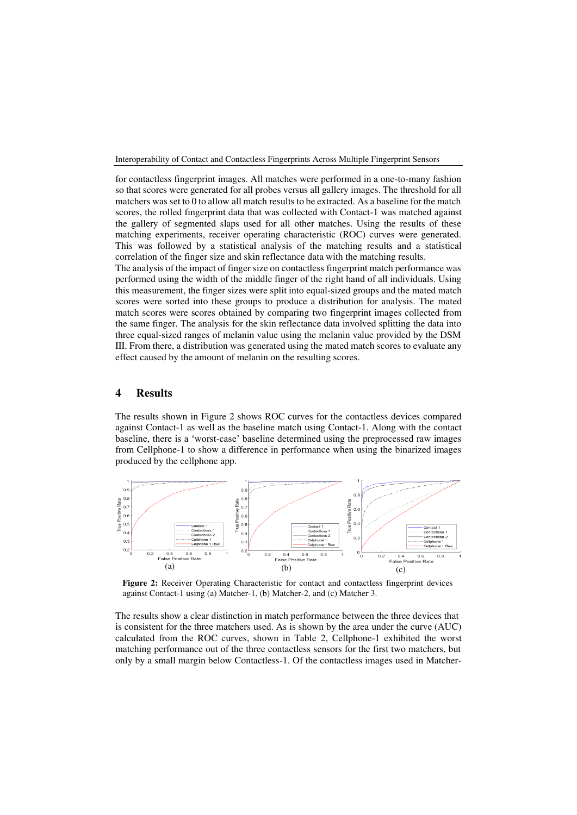for contactless fingerprint images. All matches were performed in a one-to-many fashion so that scores were generated for all probes versus all gallery images. The threshold for all matchers was set to 0 to allow all match results to be extracted. As a baseline for the match scores, the rolled fingerprint data that was collected with Contact-1 was matched against the gallery of segmented slaps used for all other matches. Using the results of these matching experiments, receiver operating characteristic (ROC) curves were generated. This was followed by a statistical analysis of the matching results and a statistical correlation of the finger size and skin reflectance data with the matching results.

The analysis of the impact of finger size on contactless fingerprint match performance was performed using the width of the middle finger of the right hand of all individuals. Using this measurement, the finger sizes were split into equal-sized groups and the mated match scores were sorted into these groups to produce a distribution for analysis. The mated match scores were scores obtained by comparing two fingerprint images collected from the same finger. The analysis for the skin reflectance data involved splitting the data into three equal-sized ranges of melanin value using the melanin value provided by the DSM III. From there, a distribution was generated using the mated match scores to evaluate any effect caused by the amount of melanin on the resulting scores.

#### **4 Results**

The results shown in Figure 2 shows ROC curves for the contactless devices compared against Contact-1 as well as the baseline match using Contact-1. Along with the contact baseline, there is a 'worst-case' baseline determined using the preprocessed raw images from Cellphone-1 to show a difference in performance when using the binarized images produced by the cellphone app.



Figure 2: Receiver Operating Characteristic for contact and contactless fingerprint devices against Contact-1 using (a) Matcher-1, (b) Matcher-2, and (c) Matcher 3.

The results show a clear distinction in match performance between the three devices that is consistent for the three matchers used. As is shown by the area under the curve (AUC) calculated from the ROC curves, shown in Table 2, Cellphone-1 exhibited the worst matching performance out of the three contactless sensors for the first two matchers, but only by a small margin below Contactless-1. Of the contactless images used in Matcher-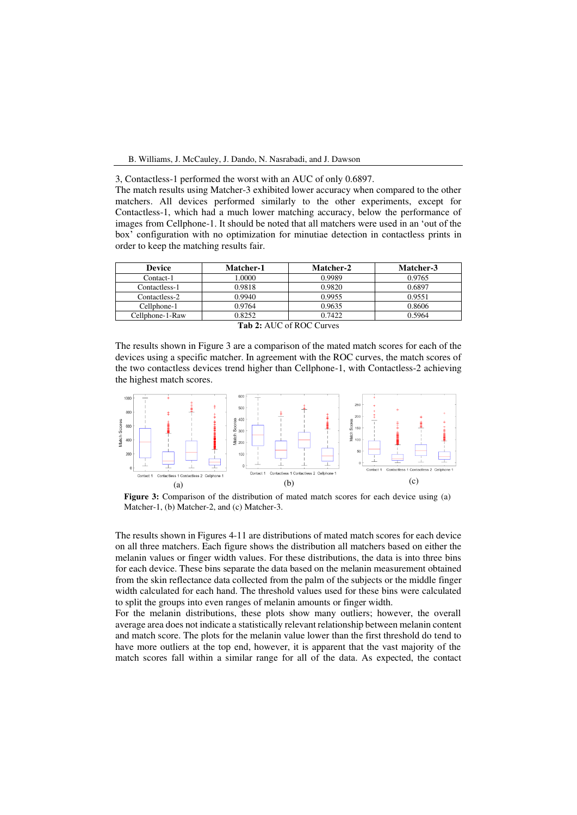3, Contactless-1 performed the worst with an AUC of only 0.6897.

The match results using Matcher-3 exhibited lower accuracy when compared to the other matchers. All devices performed similarly to the other experiments, except for Contactless-1, which had a much lower matching accuracy, below the performance of images from Cellphone-1. It should be noted that all matchers were used in an 'out of the box' configuration with no optimization for minutiae detection in contactless prints in order to keep the matching results fair.

| <b>Device</b>                                                                                                                                                                                                                                                                                               | Matcher-1 | Matcher-2 | Matcher-3 |  |  |
|-------------------------------------------------------------------------------------------------------------------------------------------------------------------------------------------------------------------------------------------------------------------------------------------------------------|-----------|-----------|-----------|--|--|
| Contact-1                                                                                                                                                                                                                                                                                                   | .0000     | 0.9989    | 0.9765    |  |  |
| Contactless-1                                                                                                                                                                                                                                                                                               | 0.9818    | 0.9820    | 0.6897    |  |  |
| Contactless-2                                                                                                                                                                                                                                                                                               | 0.9940    | 0.9955    | 0.9551    |  |  |
| Cellphone-1                                                                                                                                                                                                                                                                                                 | 0.9764    | 0.9635    | 0.8606    |  |  |
| Cellphone-1-Raw                                                                                                                                                                                                                                                                                             | 0.8252    | 0.7422    | 0.5964    |  |  |
| $\mathbf{r}$ , $\mathbf{r}$ , $\mathbf{r}$ , $\mathbf{r}$ , $\mathbf{r}$ , $\mathbf{r}$ , $\mathbf{r}$ , $\mathbf{r}$ , $\mathbf{r}$ , $\mathbf{r}$ , $\mathbf{r}$ , $\mathbf{r}$ , $\mathbf{r}$ , $\mathbf{r}$ , $\mathbf{r}$ , $\mathbf{r}$ , $\mathbf{r}$ , $\mathbf{r}$ , $\mathbf{r}$ , $\mathbf{r}$ , |           |           |           |  |  |

**Tab 2:** AUC of ROC Curves

The results shown in Figure 3 are a comparison of the mated match scores for each of the devices using a specific matcher. In agreement with the ROC curves, the match scores of the two contactless devices trend higher than Cellphone-1, with Contactless-2 achieving the highest match scores.



**Figure 3:** Comparison of the distribution of mated match scores for each device using (a) Matcher-1, (b) Matcher-2, and (c) Matcher-3.

The results shown in Figures 4-11 are distributions of mated match scores for each device on all three matchers. Each figure shows the distribution all matchers based on either the melanin values or finger width values. For these distributions, the data is into three bins for each device. These bins separate the data based on the melanin measurement obtained from the skin reflectance data collected from the palm of the subjects or the middle finger width calculated for each hand. The threshold values used for these bins were calculated to split the groups into even ranges of melanin amounts or finger width.

For the melanin distributions, these plots show many outliers; however, the overall average area does not indicate a statistically relevant relationship between melanin content and match score. The plots for the melanin value lower than the first threshold do tend to have more outliers at the top end, however, it is apparent that the vast majority of the match scores fall within a similar range for all of the data. As expected, the contact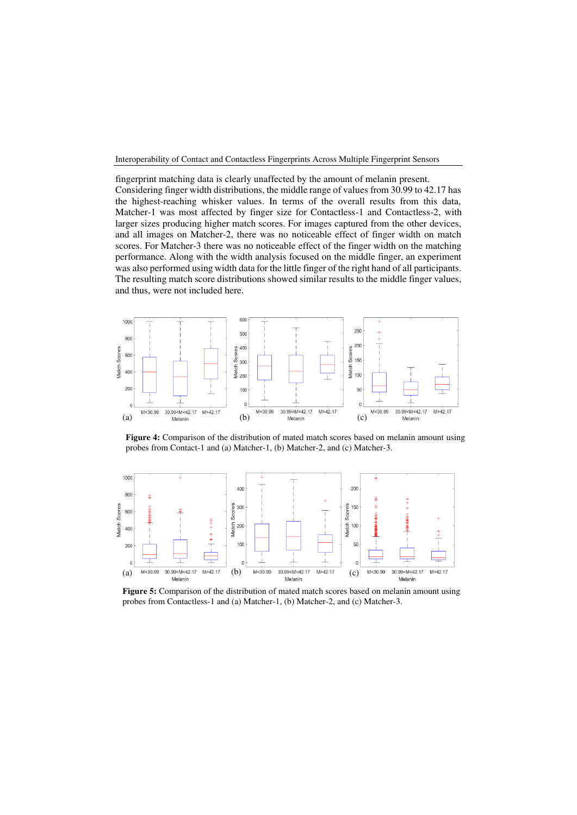fingerprint matching data is clearly unaffected by the amount of melanin present. Considering finger width distributions, the middle range of values from 30.99 to 42.17 has the highest-reaching whisker values. In terms of the overall results from this data, Matcher-1 was most affected by finger size for Contactless-1 and Contactless-2, with larger sizes producing higher match scores. For images captured from the other devices, and all images on Matcher-2, there was no noticeable effect of finger width on match scores. For Matcher-3 there was no noticeable effect of the finger width on the matching performance. Along with the width analysis focused on the middle finger, an experiment was also performed using width data for the little finger of the right hand of all participants. The resulting match score distributions showed similar results to the middle finger values, and thus, were not included here.



**Figure 4:** Comparison of the distribution of mated match scores based on melanin amount using probes from Contact-1 and (a) Matcher-1, (b) Matcher-2, and (c) Matcher-3.



**Figure 5:** Comparison of the distribution of mated match scores based on melanin amount using probes from Contactless-1 and (a) Matcher-1, (b) Matcher-2, and (c) Matcher-3.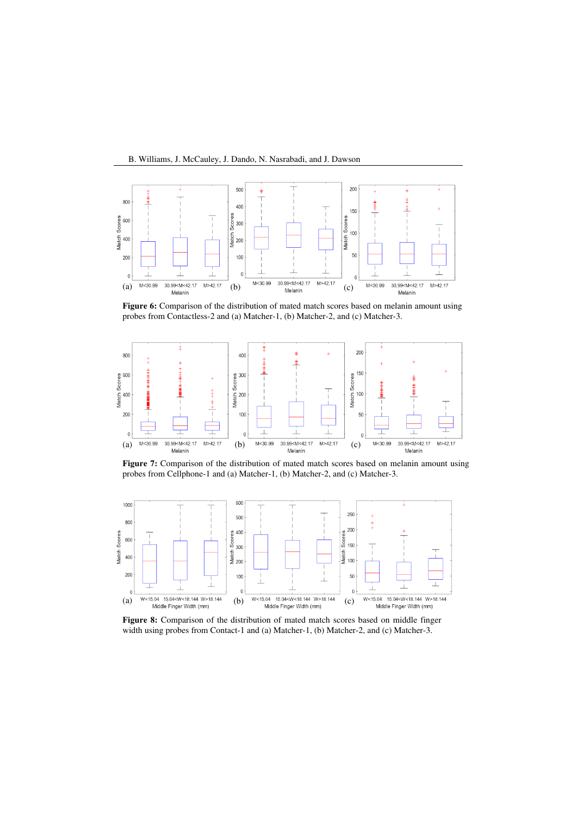B. Williams, J. McCauley, J. Dando, N. Nasrabadi, and J. Dawson



**Figure 6:** Comparison of the distribution of mated match scores based on melanin amount using probes from Contactless-2 and (a) Matcher-1, (b) Matcher-2, and (c) Matcher-3.



**Figure 7:** Comparison of the distribution of mated match scores based on melanin amount using probes from Cellphone-1 and (a) Matcher-1, (b) Matcher-2, and (c) Matcher-3.



**Figure 8:** Comparison of the distribution of mated match scores based on middle finger width using probes from Contact-1 and (a) Matcher-1, (b) Matcher-2, and (c) Matcher-3.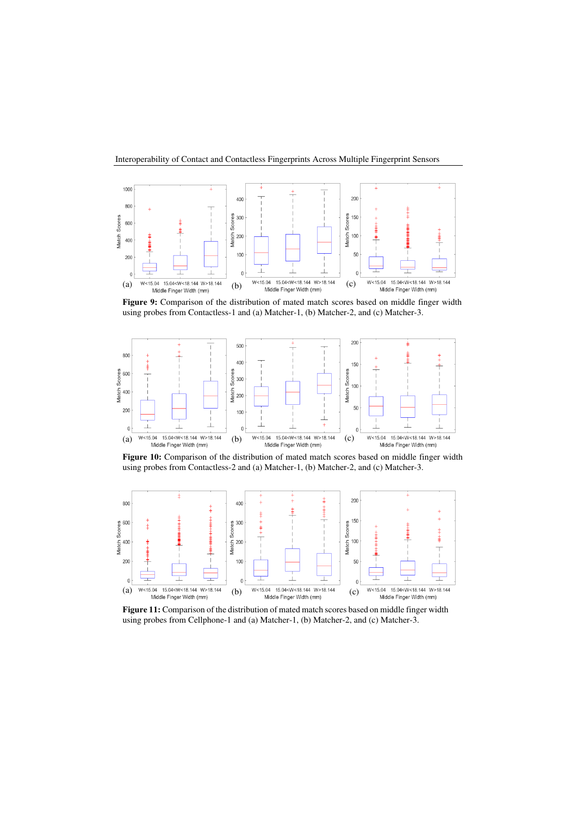

**Figure 9:** Comparison of the distribution of mated match scores based on middle finger width using probes from Contactless-1 and (a) Matcher-1, (b) Matcher-2, and (c) Matcher-3.



**Figure 10:** Comparison of the distribution of mated match scores based on middle finger width using probes from Contactless-2 and (a) Matcher-1, (b) Matcher-2, and (c) Matcher-3.



**Figure 11:** Comparison of the distribution of mated match scores based on middle finger width using probes from Cellphone-1 and (a) Matcher-1, (b) Matcher-2, and (c) Matcher-3.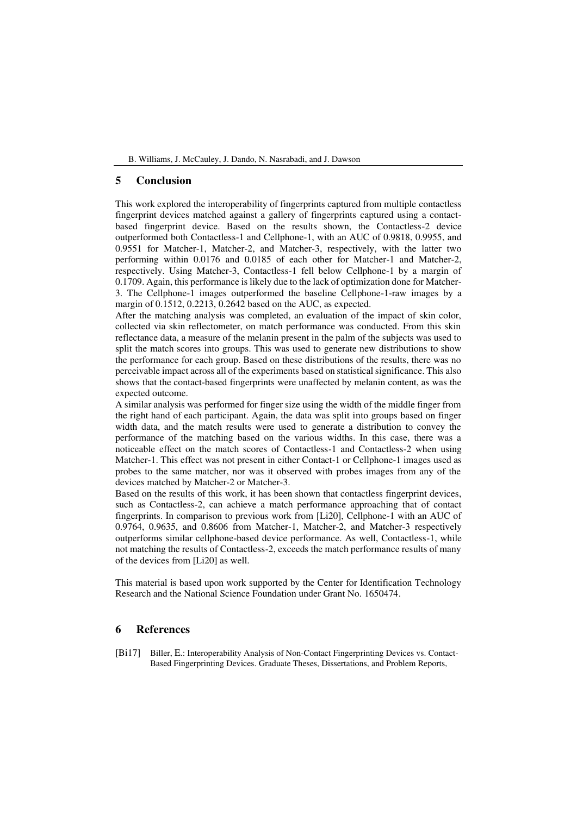## **5 Conclusion**

This work explored the interoperability of fingerprints captured from multiple contactless fingerprint devices matched against a gallery of fingerprints captured using a contactbased fingerprint device. Based on the results shown, the Contactless-2 device outperformed both Contactless-1 and Cellphone-1, with an AUC of 0.9818, 0.9955, and 0.9551 for Matcher-1, Matcher-2, and Matcher-3, respectively, with the latter two performing within 0.0176 and 0.0185 of each other for Matcher-1 and Matcher-2, respectively. Using Matcher-3, Contactless-1 fell below Cellphone-1 by a margin of 0.1709. Again, this performance is likely due to the lack of optimization done for Matcher-3. The Cellphone-1 images outperformed the baseline Cellphone-1-raw images by a margin of 0.1512, 0.2213, 0.2642 based on the AUC, as expected.

After the matching analysis was completed, an evaluation of the impact of skin color, collected via skin reflectometer, on match performance was conducted. From this skin reflectance data, a measure of the melanin present in the palm of the subjects was used to split the match scores into groups. This was used to generate new distributions to show the performance for each group. Based on these distributions of the results, there was no perceivable impact across all of the experiments based on statistical significance. This also shows that the contact-based fingerprints were unaffected by melanin content, as was the expected outcome.

A similar analysis was performed for finger size using the width of the middle finger from the right hand of each participant. Again, the data was split into groups based on finger width data, and the match results were used to generate a distribution to convey the performance of the matching based on the various widths. In this case, there was a noticeable effect on the match scores of Contactless-1 and Contactless-2 when using Matcher-1. This effect was not present in either Contact-1 or Cellphone-1 images used as probes to the same matcher, nor was it observed with probes images from any of the devices matched by Matcher-2 or Matcher-3.

Based on the results of this work, it has been shown that contactless fingerprint devices, such as Contactless-2, can achieve a match performance approaching that of contact fingerprints. In comparison to previous work from [Li20], Cellphone-1 with an AUC of 0.9764, 0.9635, and 0.8606 from Matcher-1, Matcher-2, and Matcher-3 respectively outperforms similar cellphone-based device performance. As well, Contactless-1, while not matching the results of Contactless-2, exceeds the match performance results of many of the devices from [Li20] as well.

This material is based upon work supported by the Center for Identification Technology Research and the National Science Foundation under Grant No. 1650474.

### **6 References**

[Bi17] Biller, E.: Interoperability Analysis of Non-Contact Fingerprinting Devices vs. Contact-Based Fingerprinting Devices. Graduate Theses, Dissertations, and Problem Reports,